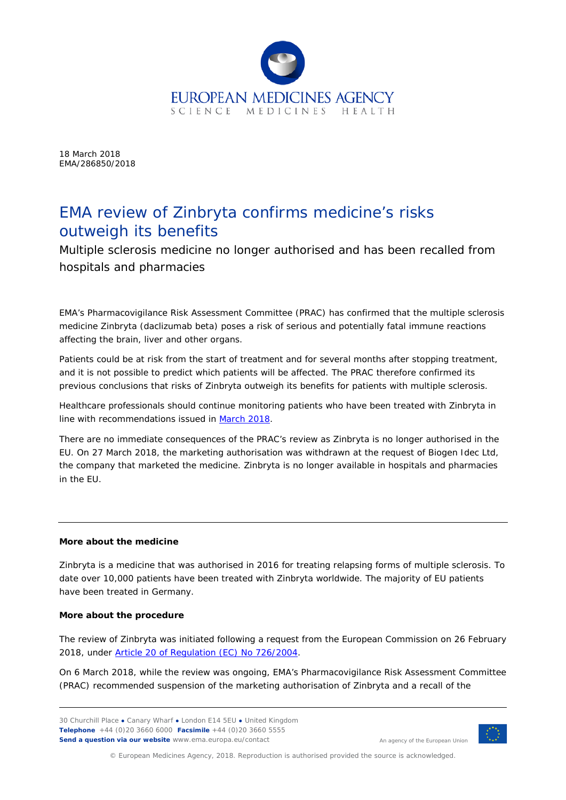

18 March 2018 EMA/286850/2018

## EMA review of Zinbryta confirms medicine's risks outweigh its benefits

Multiple sclerosis medicine no longer authorised and has been recalled from hospitals and pharmacies

EMA's Pharmacovigilance Risk Assessment Committee (PRAC) has confirmed that the multiple sclerosis medicine Zinbryta (daclizumab beta) poses a risk of serious and potentially fatal immune reactions affecting the brain, liver and other organs.

Patients could be at risk from the start of treatment and for several months after stopping treatment, and it is not possible to predict which patients will be affected. The PRAC therefore confirmed its previous conclusions that risks of Zinbryta outweigh its benefits for patients with multiple sclerosis.

Healthcare professionals should continue monitoring patients who have been treated with Zinbryta in line with recommendations issued in [March 2018.](http://www.ema.europa.eu/docs/en_GB/document_library/Referrals_document/Zinbryta_20_march_2018/Under_evaluation/WC500245166.pdf)

There are no immediate consequences of the PRAC's review as Zinbryta is no longer authorised in the EU. On 27 March 2018, the marketing authorisation was withdrawn at the request of Biogen Idec Ltd, the company that marketed the medicine. Zinbryta is no longer available in hospitals and pharmacies in the EU.

## **More about the medicine**

Zinbryta is a medicine that was authorised in 2016 for treating relapsing forms of multiple sclerosis. To date over 10,000 patients have been treated with Zinbryta worldwide. The majority of EU patients have been treated in Germany.

## **More about the procedure**

The review of Zinbryta was initiated following a request from the European Commission on 26 February 2018, under [Article 20 of Regulation \(EC\) No 726/2004.](http://www.ema.europa.eu/ema/index.jsp?curl=pages/regulation/general/general_content_000150.jsp&mid=WC0b01ac05800240d0)

On 6 March 2018, while the review was ongoing, EMA's Pharmacovigilance Risk Assessment Committee (PRAC) recommended suspension of the marketing authorisation of Zinbryta and a recall of the

30 Churchill Place **●** Canary Wharf **●** London E14 5EU **●** United Kingdom **Telephone** +44 (0)20 3660 6000 **Facsimile** +44 (0)20 3660 5555 **Send a question via our website** www.ema.europa.eu/contact



An agency of the European Union

© European Medicines Agency, 2018. Reproduction is authorised provided the source is acknowledged.